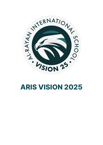

# **ARIS VISION 2025**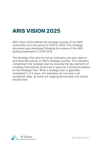## **ARIS VISION 2025**

ARIS Vision 2025 defines the strategic journey of the ARIS community from the period of 2019 to 2025. This strategic document was developed following the review of the ARIS guiding statements in 2018-2019.

The Strategic Plan and the School Indicators are each distinct and important pieces of ARIS's strategic journey. The indicators complement the strategic plan by ensuring the key elements of a leading international school are in place as a strong foundation for the Strategic Plan. While a strategic plan is generally completed in 3-5 years, the indicators do not have a set completion date, as these are ongoing benchmarks the school should meet.

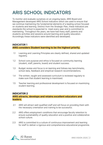## ARIS SCHOOL INDICATORS

To monitor and evaluate ourselves on an ongoing basis, ARIS Board and Management developed ARIS School indicators which are used to ensure that we continue maintaining the fundamental elements of a leading school focused on students and learning. Distinct from the Strategic Plan, these indicators are standards the school is expected to meet every year and is committed to maintaining. Throughout the years, we have had many staff, parents and students activities and sessions around learning and quality education. Accordingly these indicators were identified and developed.

## **INDICATOR 1 ARIS considers Student learning to be the highest priority.**

- 1.1 Learning and Learning Principles are clearly defined, shared and updated regularly.
- 1.2 School core purpose and ethos is focused on community learning (student, staff, parents, board) and student success.
- 1.3 Budget review and focus is on learning and follows key benchmarks, school data, feedback and empirical research recommendations.
- 1.4 The written, taught and assessed curriculum is reviewed regularly to make sure that student learning is maximised.
- 1.5 Teacher learning and professional development is focused on maximizing student learning.

## **INDICATOR 2 ARIS attracts, develops and retains excellent educators and leaders.**

- 2.1 ARIS will attract well-qualified staff and will focus on providing them with the necessary orientation and training to be successful.
- 2.2 ARIS offers employment conditions that encourage faculty retention to ensure sustainability of quality education and a positive and collaborative school culture.
- 2.3 ARIS is committed to a culture of continuous improvement and learning for staff to deliver a rigorous and comprehensive educational programme.

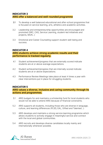## **INDICATOR 3 ARIS offer a balanced and well-rounded programme**

- 3.1 To develop a well balanced educational and after-school programme that is focused on service learning, arts, athletics and academic activities.
- 3.2 Leadership and entrepreneurship opportunities are encouraged and promoted (SRC, CAS, Service Learning, student-led initiatives and projects, MUN…)
- 3.3 Emotional and Career Counseling support student well-being and success.

## **INDICATOR 4**

## **ARIS students achieve strong academic results and their performance is tracked regularly.**

- 4.1 Student achievement/progress that are externally scored indicate students are at or above average expectations.
- 4.2 Student achievement/progress that are internally scored indicate students are at or above expectations.
- 4.3 Performance Review Meetings take place at least 4 times a year with clear interventions put in place for struggling students.

## **INDICATOR 5**

## **ARIS values a diverse, inclusive and caring community through its actions and programmes.**

- 5.1 ARIS budgets for and maintains a scholarship fund for local students who would not be able to attend ARIS because of financial constraints.
- 5.2 ARIS supports all students, including those who are diverse in language, culture, and learning differences (PLSD, EAL, Gifted and Talented…)
- 5.3 ARIS develops and maintains a strong service learning programme which allows students to actively engage in meaningful service and connect with the local and global communities.
- 5.4 ARIS recruits and develops diverse candidates locally mainly and internationally whenever possible.

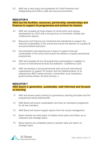5.5 ARIS has a clear policy and guidelines for Child Protection and Safeguarding and offers a safe and secure environment.

## **INDICATOR 6**

### **ARIS has the facilities, resources, partnership, memberships and finances to support its programmes and achieve its mission.**

- 6.1 ARIS will complete all three phases of construction and campus development by 2025 with a strong focus on innovative, flexible and collaborative spaces.
- 6.2 Resources and finances are monitored and maintained to support the financial sustainability of the school and ensure the delivery of a quality IB and personalised education.
- 6.3 Documentation and planning are in place to support financial sustainability of the school and ensure the delivery of quality educational programmes.
- 6.4 ARIS will complete all four IB programmes authorisation in addition to Council of International Schools Accreditation- CIS/MSA by 2025.
- 6.5 ARIS will develop a strong partnership with local and international organisations to support its mission and the implementation of its programmes (IBCP career partners, Universities, local companies, governmental entities, IB world schools...)

## **INDICATOR 7**

## **ARIS Board is generative, sustainable, well-informed and focused on learning.**

- 7.1 ARIS will receive yearly training on governance, learning principles and the programmes being implemented.
- 7.2 ARIS Board will ensure sustainability and have an orientation programme for all new members.
- 7.3 ARIS Board will receive regular reports from the school management.
- 7.4 Board retreats are held yearly to finalise action plans and follow up on indicators and strategic plans.
- 7.5 Board reports are completed yearly to present data and report on strategic plans.

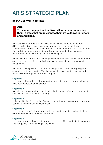## ARIS STRATEGIC PLAN

## **PERSONALIZED LEARNING**

## **GOAL**

**To develop engaged and motivated learners by supporting them in ways that are relevant to their life, cultures, interests and ambitions.**

We recognise that ARIS is an inclusive school whose students come from different educational experiences. We also believe in the principles of Neurodiversity and that there are alternative forms of natural human differences. Each individual brain is wired differently and every student has a unique background, learns differently and at their own pace.

We believe that self-directed and empowered students are more inspired to find and pursue their passions and in doing so experience deeper learning and engagement.

We commit to empowering students to take proactive roles in designing and evaluating their own learning. We also commit to make learning relevant and personalised through concept-based inquiry.

#### **Objective 1**

Learning is differentiated, flexible and informed by what the learners have and have not understood and mastered.

#### **Objective 2**

Multiple pathways and personalised schedules are offered to support the success of all learners (IB and others).

#### **Objective 3**

Universal Design for Learning Principles guide teacher planning and design of learning environments and experiences.

#### **Objective 4**

Learners will transfer knowledge, skills, and understanding and apply them to different contexts that are relevant to them.

#### **Objective 5**

Learning is inquiry-based, student-centered, requiring students to construct knowledge and understanding of the world.

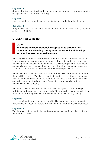#### **Objective 6**

Student Profiles are developed and updated every year. They guide learning design, planning and decision making.

#### **Objective 7**

Learners will take a proactive role in designing and evaluating their learning.

#### **Objective 8**

Programmes and staff are in place to support the needs and learning styles of all learners (PLSD).

## **STUDENT WELL-BEING**

### **GOAL**

## **To integrate a comprehensive approach to student and community well-being throughout the school and develop intra and inter-connected learners.**

We recognise that overall well-being of students enhances intrinsic motivation, increases academic achievement, improves school satisfaction and leads to flourishing of individuals and communities. We also recognise that our school community, our host country Ghana and the international community provide invaluable potential for us to be enriched by the perspectives of others.

We believe that those who feel better about themselves and the world around them, will learn better. We also believe that learning is a continuous process of making connections driven by the need to make sense of the world we live in and to better understand ourselves. Connected learners collaborate and communicate with empathy.

We commit to support students and staff to have a good understanding of well-being and social and emotional needs. Students will also engage with, learn from and contribute positively to the communities to which they belong.

#### **Objective 1**

Learners will understand that each individual is unique and their action and beliefs have an impact on others (Service Learning, International Mindedness).

#### **Objective 2**

Well-being definition, curriculum and programme in place for all classes linked to PSPE and ATL skills.

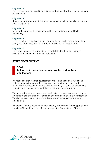#### **Objective 3**

Learners and staff involved in consistent and personalised well-being learning opportunities.

#### **Objective 4**

Student agency and attitude towards learning support community well-being and engagement.

#### **Objective 5**

A restorative approach is implemented to manage behavior and build community.

#### **Objective 6**

Learners will utilize global and local information networks, using technology safely and effectively to make informed decisions and contributions.

#### **Objective 7**

Learning is focused on learner identity and skills development through collaboration, communication and reflection.

## **STAFF DEVELOPMENT**

## **GOAL To hire, train, orient and retain excellent educators and leaders**

We recognise that teacher development and learning is a continuous and lifelong process through which educators develop their personal and professional abilities, and improve their knowledge, skills and practices. This leads to their empowerment and their transformation as learners.

We believe that educators who are passionate and deep learners will inspire students to achieve their best potential and embrace a deep love for learning. We also believe that educators are designers of learning experiences and environments.

We commit to developing an extensive yearly professional learning programme for all staff in addition to building local capacity of educators in Ghana.